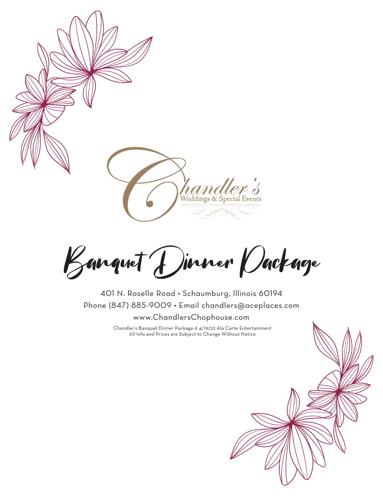

Banquet Dinner Package

401 N. Roselle Road • Schaumburg, Illinois 60194 Phone (847) 885-9009 • Email chandlers@aceplaces.com www.ChandlersChophouse.com

> Chandler's Banquet Dinner Package © 4/19/22 Ala Carte Entertainment All Info and Prices are Subject to Change Without Notice

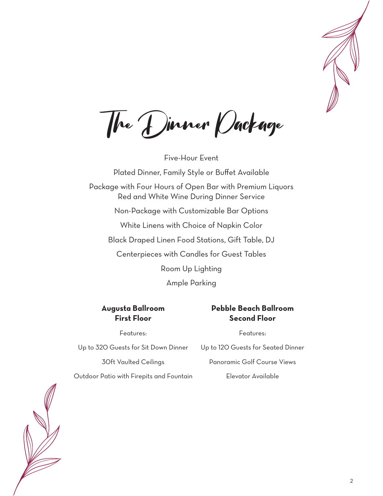

The Dinner Package

Five-Hour Event Plated Dinner, Family Style or Buffet Available Package with Four Hours of Open Bar with Premium Liquors Red and White Wine During Dinner Service Non-Package with Customizable Bar Options White Linens with Choice of Napkin Color Black Draped Linen Food Stations, Gift Table, DJ Centerpieces with Candles for Guest Tables Room Up Lighting Ample Parking

#### **Augusta Ballroom First Floor**

#### **Pebble Beach Ballroom Second Floor**

Features:

#### Features:

Up to 320 Guests for Sit Down Dinner 30ft Vaulted Ceilings Outdoor Patio with Firepits and Fountain Up to 120 Guests for Seated Dinner Panoramic Golf Course Views Elevator Available

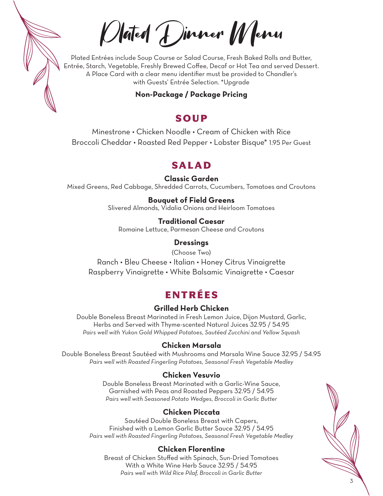Plated Dinner Menu

Plated Entrées include Soup Course or Salad Course, Fresh Baked Rolls and Butter, Entrée, Starch, Vegetable, Freshly Brewed Coffee, Decaf or Hot Tea and served Dessert. A Place Card with a clear menu identifier must be provided to Chandler's with Guests' Entrée Selection. \*Upgrade

**Non-Package / Package Pricing**

## SOUP

Minestrone • Chicken Noodle • Cream of Chicken with Rice Broccoli Cheddar • Roasted Red Pepper • Lobster Bisque\* 1.95 Per Guest

# SALAD

**Classic Garden**

Mixed Greens, Red Cabbage, Shredded Carrots, Cucumbers, Tomatoes and Croutons

#### **Bouquet of Field Greens**

Slivered Almonds, Vidalia Onions and Heirloom Tomatoes

#### **Traditional Caesar**

Romaine Lettuce, Parmesan Cheese and Croutons

#### **Dressings**

(Choose Two) Ranch • Bleu Cheese • Italian • Honey Citrus Vinaigrette Raspberry Vinaigrette • White Balsamic Vinaigrette • Caesar

# ENTRÉES

## **Grilled Herb Chicken**

Double Boneless Breast Marinated in Fresh Lemon Juice, Dijon Mustard, Garlic, Herbs and Served with Thyme-scented Natural Juices 32.95 / 54.95 *Pairs well with Yukon Gold Whipped Potatoes, Sautéed Zucchini and Yellow Squash*

#### **Chicken Marsala**

Double Boneless Breast Sautéed with Mushrooms and Marsala Wine Sauce 32.95 / 54.95 *Pairs well with Roasted Fingerling Potatoes, Seasonal Fresh Vegetable Medley*

#### **Chicken Vesuvio**

Double Boneless Breast Marinated with a Garlic-Wine Sauce, Garnished with Peas and Roasted Peppers 32.95 / 54.95 *Pairs well with Seasoned Potato Wedges, Broccoli in Garlic Butter*

## **Chicken Piccata**

Sautéed Double Boneless Breast with Capers, Finished with a Lemon Garlic Butter Sauce 32.95 / 54.95 *Pairs well with Roasted Fingerling Potatoes, Seasonal Fresh Vegetable Medley*

#### **Chicken Florentine**

Breast of Chicken Stuffed with Spinach, Sun-Dried Tomatoes With a White Wine Herb Sauce 32.95 / 54.95 *Pairs well with Wild Rice Pilaf, Broccoli in Garlic Butter*

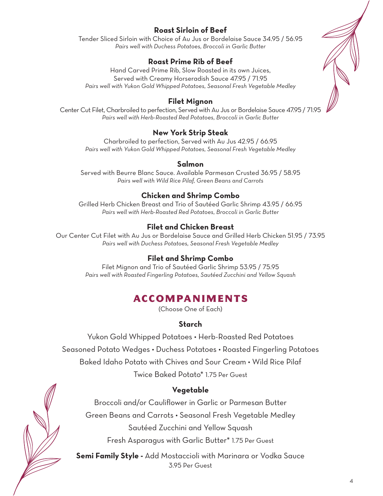## **Roast Sirloin of Beef**

Tender Sliced Sirloin with Choice of Au Jus or Bordelaise Sauce 34.95 / 56.95 *Pairs well with Duchess Potatoes, Broccoli in Garlic Butter*

#### **Roast Prime Rib of Beef**

Hand Carved Prime Rib, Slow Roasted in its own Juices, Served with Creamy Horseradish Sauce 47.95 / 71.95 *Pairs well with Yukon Gold Whipped Potatoes, Seasonal Fresh Vegetable Medley*

#### **Filet Mignon**

Center Cut Filet, Charbroiled to perfection, Served with Au Jus or Bordelaise Sauce 47.95 / 71.95 *Pairs well with Herb-Roasted Red Potatoes, Broccoli in Garlic Butter*

### **New York Strip Steak**

Charbroiled to perfection, Served with Au Jus 42.95 / 66.95 *Pairs well with Yukon Gold Whipped Potatoes, Seasonal Fresh Vegetable Medley*

#### **Salmon**

Served with Beurre Blanc Sauce. Available Parmesan Crusted 36.95 / 58.95 *Pairs well with Wild Rice Pilaf, Green Beans and Carrots*

### **Chicken and Shrimp Combo**

Grilled Herb Chicken Breast and Trio of Sautéed Garlic Shrimp 43.95 / 66.95 *Pairs well with Herb-Roasted Red Potatoes, Broccoli in Garlic Butter*

## **Filet and Chicken Breast**

Our Center Cut Filet with Au Jus or Bordelaise Sauce and Grilled Herb Chicken 51.95 / 73.95 *Pairs well with Duchess Potatoes, Seasonal Fresh Vegetable Medley*

#### **Filet and Shrimp Combo**

Filet Mignon and Trio of Sautéed Garlic Shrimp 53.95 / 75.95 *Pairs well with Roasted Fingerling Potatoes, Sautéed Zucchini and Yellow Squash*

# ACCOMPANIMENTS

(Choose One of Each)

## **Starch**

Yukon Gold Whipped Potatoes • Herb-Roasted Red Potatoes Seasoned Potato Wedges • Duchess Potatoes • Roasted Fingerling Potatoes Baked Idaho Potato with Chives and Sour Cream • Wild Rice Pilaf Twice Baked Potato\* 1.75 Per Guest

## **Vegetable**

Broccoli and/or Cauliflower in Garlic or Parmesan Butter Green Beans and Carrots • Seasonal Fresh Vegetable Medley Sautéed Zucchini and Yellow Squash

Fresh Asparagus with Garlic Butter\* 1.75 Per Guest

**Semi Family Style -** Add Mostaccioli with Marinara or Vodka Sauce 3.95 Per Guest



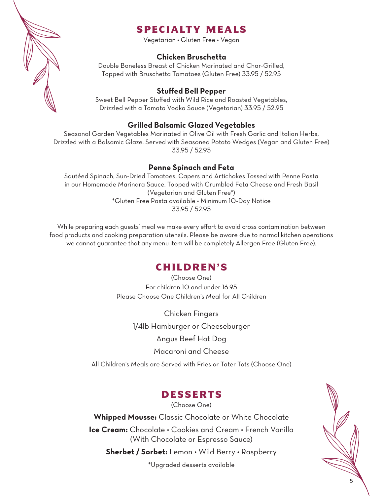

# SPECIALTY MEALS

Vegetarian • Gluten Free • Vegan

#### **Chicken Bruschetta**

Double Boneless Breast of Chicken Marinated and Char-Grilled, Topped with Bruschetta Tomatoes (Gluten Free) 33.95 / 52.95

#### **Stuffed Bell Pepper**

Sweet Bell Pepper Stuffed with Wild Rice and Roasted Vegetables, Drizzled with a Tomato Vodka Sauce (Vegetarian) 33.95 / 52.95

#### **Grilled Balsamic Glazed Vegetables**

Seasonal Garden Vegetables Marinated in Olive Oil with Fresh Garlic and Italian Herbs, Drizzled with a Balsamic Glaze. Served with Seasoned Potato Wedges (Vegan and Gluten Free) 33.95 / 52.95

#### **Penne Spinach and Feta**

Sautéed Spinach, Sun-Dried Tomatoes, Capers and Artichokes Tossed with Penne Pasta in our Homemade Marinara Sauce. Topped with Crumbled Feta Cheese and Fresh Basil (Vegetarian and Gluten Free\*) \*Gluten Free Pasta available • Minimum 10-Day Notice 33.95 / 52.95

While preparing each guests' meal we make every effort to avoid cross contamination between food products and cooking preparation utensils. Please be aware due to normal kitchen operations we cannot guarantee that any menu item will be completely Allergen Free (Gluten Free).

#### CHILDREN'S

(Choose One) For children 10 and under 16.95 Please Choose One Children's Meal for All Children

Chicken Fingers 1/4lb Hamburger or Cheeseburger Angus Beef Hot Dog Macaroni and Cheese

All Children's Meals are Served with Fries or Tater Tots (Choose One)

## DESSERTS

(Choose One)

**Whipped Mousse:** Classic Chocolate or White Chocolate **Ice Cream:** Chocolate • Cookies and Cream • French Vanilla (With Chocolate or Espresso Sauce)

**Sherbet / Sorbet:** Lemon • Wild Berry • Raspberry

\*Upgraded desserts available

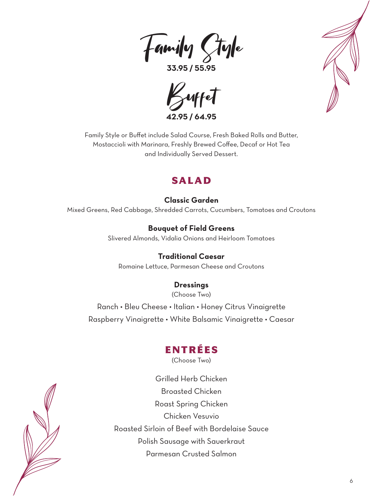Family Style

**33.95 / 55.95**





Family Style or Buffet include Salad Course, Fresh Baked Rolls and Butter, Mostaccioli with Marinara, Freshly Brewed Coffee, Decaf or Hot Tea and Individually Served Dessert.

## SALAD

### **Classic Garden**

Mixed Greens, Red Cabbage, Shredded Carrots, Cucumbers, Tomatoes and Croutons

**Bouquet of Field Greens** Slivered Almonds, Vidalia Onions and Heirloom Tomatoes

**Traditional Caesar** Romaine Lettuce, Parmesan Cheese and Croutons

# **Dressings**

(Choose Two)

Ranch • Bleu Cheese • Italian • Honey Citrus Vinaigrette Raspberry Vinaigrette • White Balsamic Vinaigrette • Caesar

# ENTRÉES

(Choose Two)

Grilled Herb Chicken Broasted Chicken Roast Spring Chicken Chicken Vesuvio Roasted Sirloin of Beef with Bordelaise Sauce Polish Sausage with Sauerkraut Parmesan Crusted Salmon

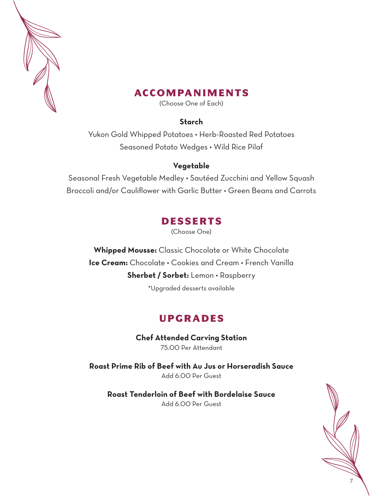

## ACCOMPANIMENTS

(Choose One of Each)

#### **Starch**

Yukon Gold Whipped Potatoes • Herb-Roasted Red Potatoes Seasoned Potato Wedges • Wild Rice Pilaf

#### **Vegetable**

Seasonal Fresh Vegetable Medley • Sautéed Zucchini and Yellow Squash Broccoli and/or Cauliflower with Garlic Butter • Green Beans and Carrots

# DESSERTS

(Choose One)

**Whipped Mousse:** Classic Chocolate or White Chocolate **Ice Cream:** Chocolate • Cookies and Cream • French Vanilla **Sherbet / Sorbet:** Lemon • Raspberry \*Upgraded desserts available

# UPGRADES

**Chef Attended Carving Station** 75.00 Per Attendant

**Roast Prime Rib of Beef with Au Jus or Horseradish Sauce** Add 6.00 Per Guest

**Roast Tenderloin of Beef with Bordelaise Sauce** Add 6.00 Per Guest

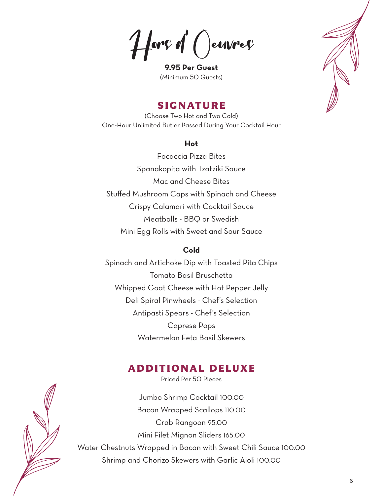Hors **d** () envres

**9.95 Per Guest** (Minimum 50 Guests)



## SIGNATURE

(Choose Two Hot and Two Cold) One-Hour Unlimited Butler Passed During Your Cocktail Hour

#### **Hot**

Focaccia Pizza Bites Spanakopita with Tzatziki Sauce Mac and Cheese Bites Stuffed Mushroom Caps with Spinach and Cheese Crispy Calamari with Cocktail Sauce Meatballs - BBQ or Swedish Mini Egg Rolls with Sweet and Sour Sauce

#### **Cold**

Spinach and Artichoke Dip with Toasted Pita Chips Tomato Basil Bruschetta Whipped Goat Cheese with Hot Pepper Jelly Deli Spiral Pinwheels - Chef's Selection Antipasti Spears - Chef's Selection Caprese Pops Watermelon Feta Basil Skewers

# ADDITIONAL DELUXE

Priced Per 50 Pieces

Jumbo Shrimp Cocktail 100.00 Bacon Wrapped Scallops 110.00 Crab Rangoon 95.00 Mini Filet Mignon Sliders 165.00 Water Chestnuts Wrapped in Bacon with Sweet Chili Sauce 100.00 Shrimp and Chorizo Skewers with Garlic Aioli 100.00

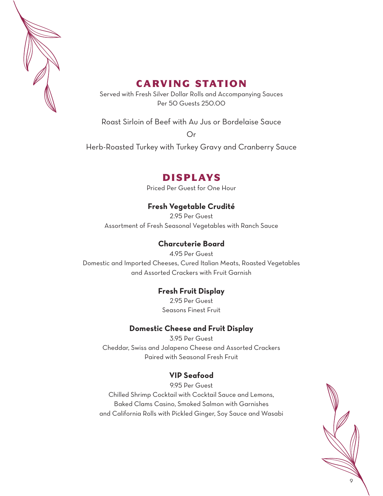

# CARVING STATION

Served with Fresh Silver Dollar Rolls and Accompanying Sauces Per 50 Guests 250.00

Roast Sirloin of Beef with Au Jus or Bordelaise Sauce

Or

Herb-Roasted Turkey with Turkey Gravy and Cranberry Sauce

# DISPLAYS

Priced Per Guest for One Hour

## **Fresh Vegetable Crudité**

2.95 Per Guest Assortment of Fresh Seasonal Vegetables with Ranch Sauce

#### **Charcuterie Board**

4.95 Per Guest Domestic and Imported Cheeses, Cured Italian Meats, Roasted Vegetables and Assorted Crackers with Fruit Garnish

#### **Fresh Fruit Display**

2.95 Per Guest Seasons Finest Fruit

#### **Domestic Cheese and Fruit Display**

3.95 Per Guest Cheddar, Swiss and Jalapeno Cheese and Assorted Crackers Paired with Seasonal Fresh Fruit

## **VIP Seafood**

9.95 Per Guest Chilled Shrimp Cocktail with Cocktail Sauce and Lemons, Baked Clams Casino, Smoked Salmon with Garnishes and California Rolls with Pickled Ginger, Soy Sauce and Wasabi

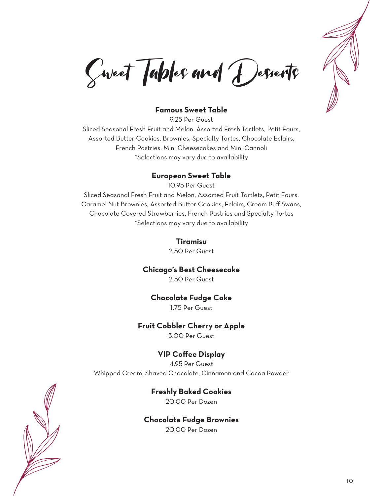

Sweet Tables and Desserts

#### **Famous Sweet Table**

9.25 Per Guest Sliced Seasonal Fresh Fruit and Melon, Assorted Fresh Tartlets, Petit Fours, Assorted Butter Cookies, Brownies, Specialty Tortes, Chocolate Eclairs, French Pastries, Mini Cheesecakes and Mini Cannoli \*Selections may vary due to availability

#### **European Sweet Table**

10.95 Per Guest Sliced Seasonal Fresh Fruit and Melon, Assorted Fruit Tartlets, Petit Fours, Caramel Nut Brownies, Assorted Butter Cookies, Eclairs, Cream Puff Swans, Chocolate Covered Strawberries, French Pastries and Specialty Tortes \*Selections may vary due to availability

#### **Tiramisu**

2.50 Per Guest

#### **Chicago's Best Cheesecake**

2.50 Per Guest

#### **Chocolate Fudge Cake**

1.75 Per Guest

#### **Fruit Cobbler Cherry or Apple**

3.00 Per Guest

#### **VIP Coffee Display**

4.95 Per Guest Whipped Cream, Shaved Chocolate, Cinnamon and Cocoa Powder

#### **Freshly Baked Cookies**

20.00 Per Dozen

#### **Chocolate Fudge Brownies**

20.00 Per Dozen

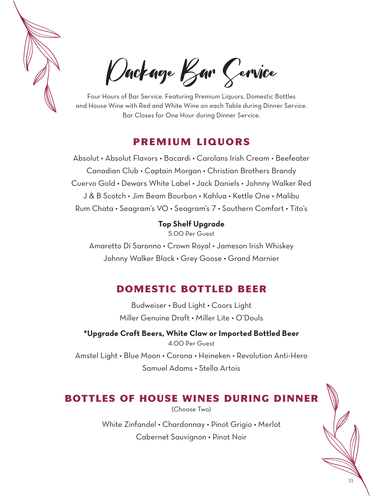

Package Bar Service

Four Hours of Bar Service. Featuring Premium Liquors, Domestic Bottles and House Wine with Red and White Wine on each Table during Dinner Service. Bar Closes for One Hour during Dinner Service.

# PREMIUM LIQUORS

Absolut • Absolut Flavors • Bacardi • Carolans Irish Cream • Beefeater Canadian Club • Captain Morgan • Christian Brothers Brandy Cuervo Gold • Dewars White Label • Jack Daniels • Johnny Walker Red J & B Scotch • Jim Beam Bourbon • Kahlua • Kettle One • Malibu Rum Chata • Seagram's VO • Seagram's 7 • Southern Comfort • Tito's

#### **Top Shelf Upgrade**

5.00 Per Guest

Amaretto Di Saronno • Crown Royal • Jameson Irish Whiskey Johnny Walker Black • Grey Goose • Grand Marnier

# DOMESTIC BOTTLED BEER

Budweiser • Bud Light • Coors Light Miller Genuine Draft • Miller Lite • O'Douls

**\*Upgrade Craft Beers, White Claw or Imported Bottled Beer** 4.00 Per Guest Amstel Light • Blue Moon • Corona • Heineken • Revolution Anti-Hero Samuel Adams • Stella Artois

# BOTTLES OF HOUSE WINES DURING DINNER

(Choose Two)

White Zinfandel • Chardonnay • Pinot Grigio • Merlot Cabernet Sauvignon • Pinot Noir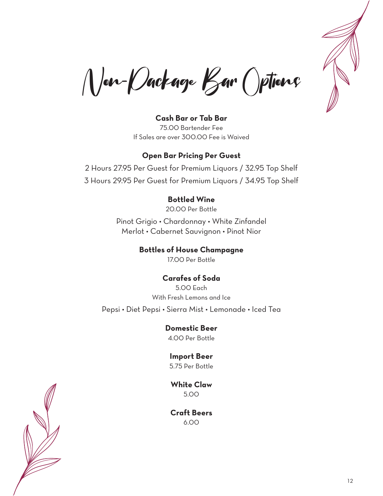

Non-Package Bar Options

**Cash Bar or Tab Bar** 75.00 Bartender Fee If Sales are over 300.00 Fee is Waived

#### **Open Bar Pricing Per Guest**

2 Hours 27.95 Per Guest for Premium Liquors / 32.95 Top Shelf 3 Hours 29.95 Per Guest for Premium Liquors / 34.95 Top Shelf

#### **Bottled Wine**

20.00 Per Bottle

Pinot Grigio • Chardonnay • White Zinfandel Merlot • Cabernet Sauvignon • Pinot Nior

> **Bottles of House Champagne** 17.00 Per Bottle

#### **Carafes of Soda**

5.00 Each With Fresh Lemons and Ice Pepsi • Diet Pepsi • Sierra Mist • Lemonade • Iced Tea

**Domestic Beer**

4.00 Per Bottle

### **Import Beer**

5.75 Per Bottle

**White Claw** 5.00

**Craft Beers** 6.00